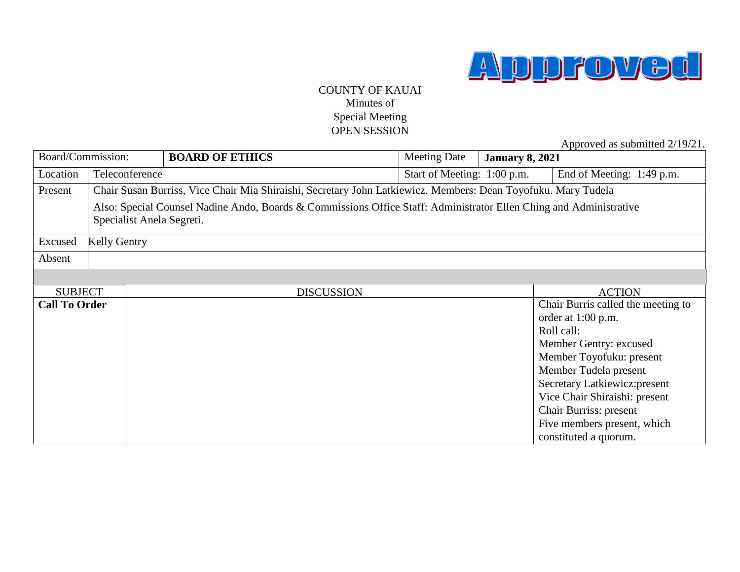

## COUNTY OF KAUAI Minutes of Special Meeting OPEN SESSION

Approved as submitted 2/19/21.

| Board/Commission:    |                |                                                                                                                                                 | <b>BOARD OF ETHICS</b> | <b>Meeting Date</b>         | <b>January 8, 2021</b> |                                    |  |
|----------------------|----------------|-------------------------------------------------------------------------------------------------------------------------------------------------|------------------------|-----------------------------|------------------------|------------------------------------|--|
| Location             | Teleconference |                                                                                                                                                 |                        | Start of Meeting: 1:00 p.m. |                        | End of Meeting: 1:49 p.m.          |  |
| Present              |                | Chair Susan Burriss, Vice Chair Mia Shiraishi, Secretary John Latkiewicz. Members: Dean Toyofuku. Mary Tudela                                   |                        |                             |                        |                                    |  |
|                      |                | Also: Special Counsel Nadine Ando, Boards & Commissions Office Staff: Administrator Ellen Ching and Administrative<br>Specialist Anela Segreti. |                        |                             |                        |                                    |  |
| Excused              |                | <b>Kelly Gentry</b>                                                                                                                             |                        |                             |                        |                                    |  |
| Absent               |                |                                                                                                                                                 |                        |                             |                        |                                    |  |
|                      |                |                                                                                                                                                 |                        |                             |                        |                                    |  |
| <b>SUBJECT</b>       |                |                                                                                                                                                 | <b>DISCUSSION</b>      |                             |                        | <b>ACTION</b>                      |  |
| <b>Call To Order</b> |                |                                                                                                                                                 |                        |                             |                        | Chair Burris called the meeting to |  |
|                      |                |                                                                                                                                                 |                        |                             |                        | order at $1:00$ p.m.               |  |
|                      |                |                                                                                                                                                 |                        |                             |                        | Roll call:                         |  |
|                      |                |                                                                                                                                                 |                        |                             |                        | Member Gentry: excused             |  |
|                      |                |                                                                                                                                                 |                        |                             |                        | Member Toyofuku: present           |  |
|                      |                |                                                                                                                                                 |                        |                             |                        | Member Tudela present              |  |
|                      |                |                                                                                                                                                 |                        |                             |                        | Secretary Latkiewicz: present      |  |
|                      |                |                                                                                                                                                 |                        |                             |                        | Vice Chair Shiraishi: present      |  |
|                      |                |                                                                                                                                                 |                        |                             |                        | Chair Burriss: present             |  |
|                      |                |                                                                                                                                                 |                        |                             |                        | Five members present, which        |  |
|                      |                |                                                                                                                                                 |                        |                             |                        | constituted a quorum.              |  |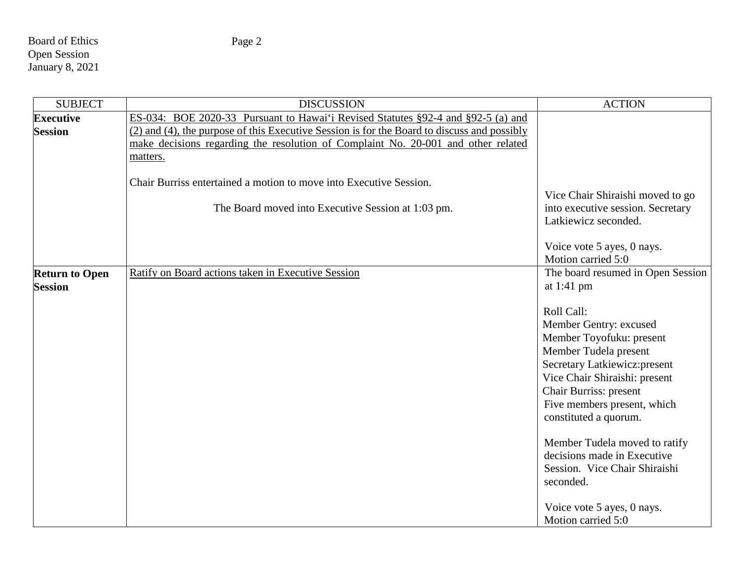Board of Ethics Open Session January 8, 2021

| <b>SUBJECT</b>        | <b>DISCUSSION</b>                                                                           | <b>ACTION</b>                                          |
|-----------------------|---------------------------------------------------------------------------------------------|--------------------------------------------------------|
| <b>Executive</b>      | ES-034: BOE 2020-33 Pursuant to Hawai'i Revised Statutes §92-4 and §92-5 (a) and            |                                                        |
| <b>Session</b>        | (2) and (4), the purpose of this Executive Session is for the Board to discuss and possibly |                                                        |
|                       | make decisions regarding the resolution of Complaint No. 20-001 and other related           |                                                        |
|                       | matters.                                                                                    |                                                        |
|                       | Chair Burriss entertained a motion to move into Executive Session.                          |                                                        |
|                       |                                                                                             | Vice Chair Shiraishi moved to go                       |
|                       | The Board moved into Executive Session at 1:03 pm.                                          | into executive session. Secretary                      |
|                       |                                                                                             | Latkiewicz seconded.                                   |
|                       |                                                                                             | Voice vote 5 ayes, 0 nays.                             |
|                       |                                                                                             | Motion carried 5:0                                     |
| <b>Return to Open</b> | Ratify on Board actions taken in Executive Session                                          | The board resumed in Open Session                      |
| <b>Session</b>        |                                                                                             | at $1:41$ pm                                           |
|                       |                                                                                             |                                                        |
|                       |                                                                                             | Roll Call:                                             |
|                       |                                                                                             | Member Gentry: excused                                 |
|                       |                                                                                             | Member Toyofuku: present                               |
|                       |                                                                                             | Member Tudela present<br>Secretary Latkiewicz: present |
|                       |                                                                                             | Vice Chair Shiraishi: present                          |
|                       |                                                                                             | Chair Burriss: present                                 |
|                       |                                                                                             | Five members present, which                            |
|                       |                                                                                             | constituted a quorum.                                  |
|                       |                                                                                             |                                                        |
|                       |                                                                                             | Member Tudela moved to ratify                          |
|                       |                                                                                             | decisions made in Executive                            |
|                       |                                                                                             | Session. Vice Chair Shiraishi<br>seconded.             |
|                       |                                                                                             |                                                        |
|                       |                                                                                             | Voice vote 5 ayes, 0 nays.                             |
|                       |                                                                                             | Motion carried 5:0                                     |